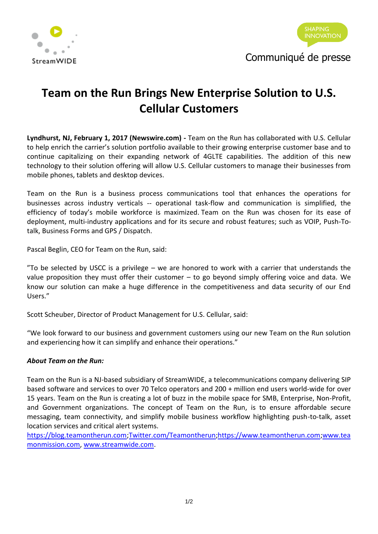



## **Team on the Run Brings New Enterprise Solution to U.S. Cellular Customers**

**Lyndhurst, NJ, February 1, 2017 (Newswire.com) -** Team on the Run has collaborated with U.S. Cellular to help enrich the carrier's solution portfolio available to their growing enterprise customer base and to continue capitalizing on their expanding network of 4GLTE capabilities. The addition of this new technology to their solution offering will allow U.S. Cellular customers to manage their businesses from mobile phones, tablets and desktop devices.

Team on the Run is a business process communications tool that enhances the operations for businesses across industry verticals -- operational task-flow and communication is simplified, the efficiency of today's mobile workforce is maximized. Team on the Run was chosen for its ease of deployment, multi-industry applications and for its secure and robust features; such as VOIP, Push-Totalk, Business Forms and GPS / Dispatch.

Pascal Beglin, CEO for Team on the Run, said:

 $\degree$ To be selected by USCC is a privilege – we are honored to work with a carrier that understands the value proposition they must offer their customer – to go beyond simply offering voice and data. We know our solution can make a huge difference in the competitiveness and data security of our End Users."

Scott Scheuber, Director of Product Management for U.S. Cellular, said:

"We look forward to our business and government customers using our new Team on the Run solution and experiencing how it can simplify and enhance their operations."

## *About Team on the Run:*

Team on the Run is a NJ-based subsidiary of StreamWIDE, a telecommunications company delivering SIP based software and services to over 70 Telco operators and 200 + million end users world-wide for over 15 years. Team on the Run is creating a lot of buzz in the mobile space for SMB, Enterprise, Non-Profit, and Government organizations. The concept of Team on the Run, is to ensure affordable secure messaging, team connectivity, and simplify mobile business workflow highlighting push-to-talk, asset location services and critical alert systems.

[https://blog.teamontherun.com](https://blog.teamontherun.com/)[;Twitter.com/Teamontherun](https://twitter.com/Teamontherun?ref_src=twsrc%5Egoogle%7Ctwcamp%5Eserp%7Ctwgr%5Eauthor)[;https://www.teamontherun.com](https://www.teamontherun.com/)[;www.tea](http://www.teamonmission.com/) [monmission.com,](http://www.teamonmission.com/) [www.streamwide.com.](http://www.streamwide.com/)